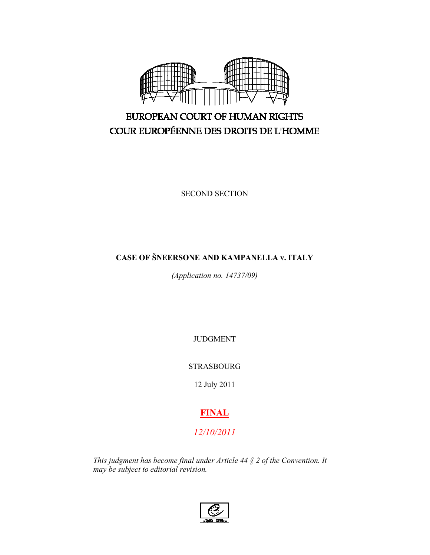

# EUROPEAN COURT OF HUMAN RIGHTS COUR EUROPÉENNE DES DROITS DE L'HOMME

SECOND SECTION

# CASE OF ŠNEERSONE AND KAMPANELLA v. ITALY

(Application no. 14737/09)

JUDGMENT

STRASBOURG

12 July 2011

# FINAL

# 12/10/2011

This judgment has become final under Article 44  $\S$  2 of the Convention. It may be subject to editorial revision.

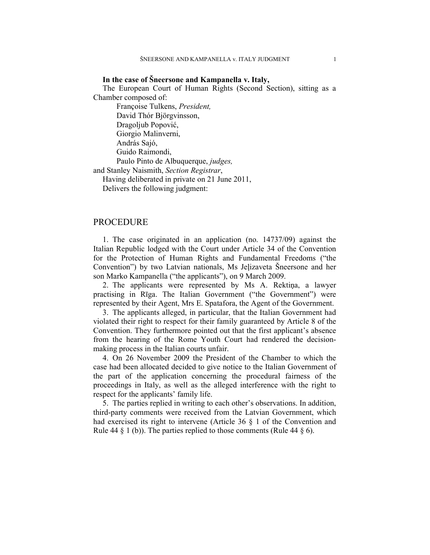# In the case of Šneersone and Kampanella v. Italy,

The European Court of Human Rights (Second Section), sitting as a Chamber composed of:

 Françoise Tulkens, President, David Thór Björgvinsson, Dragoljub Popović, Giorgio Malinverni, András Sajó, Guido Raimondi, Paulo Pinto de Albuquerque, judges, and Stanley Naismith, Section Registrar, Having deliberated in private on 21 June 2011, Delivers the following judgment:

## PROCEDURE

1. The case originated in an application (no. 14737/09) against the Italian Republic lodged with the Court under Article 34 of the Convention for the Protection of Human Rights and Fundamental Freedoms ("the Convention") by two Latvian nationals, Ms Jelizaveta Šneersone and her son Marko Kampanella ("the applicants"), on 9 March 2009.

2. The applicants were represented by Ms A. Rektina, a lawyer practising in Rīga. The Italian Government ("the Government") were represented by their Agent, Mrs E. Spatafora, the Agent of the Government.

3. The applicants alleged, in particular, that the Italian Government had violated their right to respect for their family guaranteed by Article 8 of the Convention. They furthermore pointed out that the first applicant's absence from the hearing of the Rome Youth Court had rendered the decisionmaking process in the Italian courts unfair.

4. On 26 November 2009 the President of the Chamber to which the case had been allocated decided to give notice to the Italian Government of the part of the application concerning the procedural fairness of the proceedings in Italy, as well as the alleged interference with the right to respect for the applicants' family life.

5. The parties replied in writing to each other's observations. In addition, third-party comments were received from the Latvian Government, which had exercised its right to intervene (Article 36 § 1 of the Convention and Rule 44  $\S$  1 (b)). The parties replied to those comments (Rule 44  $\S$  6).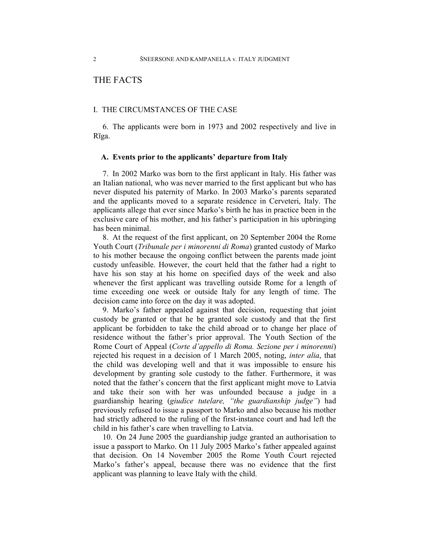# THE FACTS

## I. THE CIRCUMSTANCES OF THE CASE

6. The applicants were born in 1973 and 2002 respectively and live in Rīga.

### A. Events prior to the applicants' departure from Italy

7. In 2002 Marko was born to the first applicant in Italy. His father was an Italian national, who was never married to the first applicant but who has never disputed his paternity of Marko. In 2003 Marko's parents separated and the applicants moved to a separate residence in Cerveteri, Italy. The applicants allege that ever since Marko's birth he has in practice been in the exclusive care of his mother, and his father's participation in his upbringing has been minimal.

8. At the request of the first applicant, on 20 September 2004 the Rome Youth Court (Tribunale per i minorenni di Roma) granted custody of Marko to his mother because the ongoing conflict between the parents made joint custody unfeasible. However, the court held that the father had a right to have his son stay at his home on specified days of the week and also whenever the first applicant was travelling outside Rome for a length of time exceeding one week or outside Italy for any length of time. The decision came into force on the day it was adopted.

9. Marko's father appealed against that decision, requesting that joint custody be granted or that he be granted sole custody and that the first applicant be forbidden to take the child abroad or to change her place of residence without the father's prior approval. The Youth Section of the Rome Court of Appeal (Corte d'appello di Roma. Sezione per i minorenni) rejected his request in a decision of 1 March 2005, noting, inter alia, that the child was developing well and that it was impossible to ensure his development by granting sole custody to the father. Furthermore, it was noted that the father's concern that the first applicant might move to Latvia and take their son with her was unfounded because a judge in a guardianship hearing (giudice tutelare, "the guardianship judge") had previously refused to issue a passport to Marko and also because his mother had strictly adhered to the ruling of the first-instance court and had left the child in his father's care when travelling to Latvia.

10. On 24 June 2005 the guardianship judge granted an authorisation to issue a passport to Marko. On 11 July 2005 Marko's father appealed against that decision. On 14 November 2005 the Rome Youth Court rejected Marko's father's appeal, because there was no evidence that the first applicant was planning to leave Italy with the child.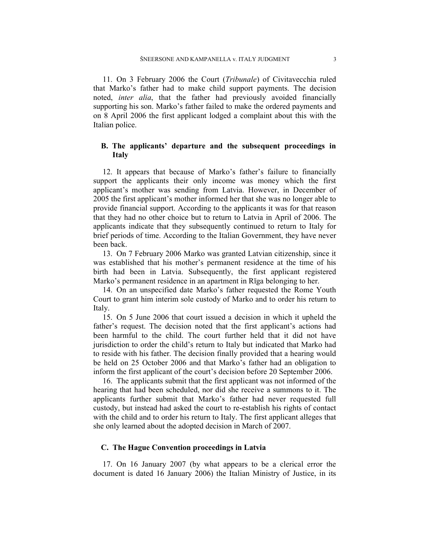11. On 3 February 2006 the Court (Tribunale) of Civitavecchia ruled that Marko's father had to make child support payments. The decision noted, inter alia, that the father had previously avoided financially supporting his son. Marko's father failed to make the ordered payments and on 8 April 2006 the first applicant lodged a complaint about this with the Italian police.

# B. The applicants' departure and the subsequent proceedings in Italy

12. It appears that because of Marko's father's failure to financially support the applicants their only income was money which the first applicant's mother was sending from Latvia. However, in December of 2005 the first applicant's mother informed her that she was no longer able to provide financial support. According to the applicants it was for that reason that they had no other choice but to return to Latvia in April of 2006. The applicants indicate that they subsequently continued to return to Italy for brief periods of time. According to the Italian Government, they have never been back.

13. On 7 February 2006 Marko was granted Latvian citizenship, since it was established that his mother's permanent residence at the time of his birth had been in Latvia. Subsequently, the first applicant registered Marko's permanent residence in an apartment in Rīga belonging to her.

14. On an unspecified date Marko's father requested the Rome Youth Court to grant him interim sole custody of Marko and to order his return to Italy.

15. On 5 June 2006 that court issued a decision in which it upheld the father's request. The decision noted that the first applicant's actions had been harmful to the child. The court further held that it did not have jurisdiction to order the child's return to Italy but indicated that Marko had to reside with his father. The decision finally provided that a hearing would be held on 25 October 2006 and that Marko's father had an obligation to inform the first applicant of the court's decision before 20 September 2006.

16. The applicants submit that the first applicant was not informed of the hearing that had been scheduled, nor did she receive a summons to it. The applicants further submit that Marko's father had never requested full custody, but instead had asked the court to re-establish his rights of contact with the child and to order his return to Italy. The first applicant alleges that she only learned about the adopted decision in March of 2007.

## C. The Hague Convention proceedings in Latvia

17. On 16 January 2007 (by what appears to be a clerical error the document is dated 16 January 2006) the Italian Ministry of Justice, in its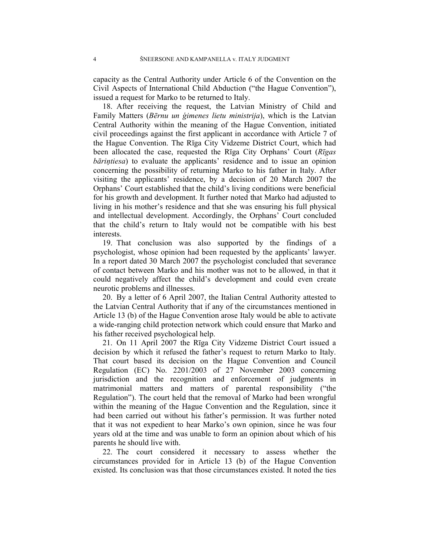capacity as the Central Authority under Article 6 of the Convention on the Civil Aspects of International Child Abduction ("the Hague Convention"), issued a request for Marko to be returned to Italy.

18. After receiving the request, the Latvian Ministry of Child and Family Matters (Bērnu un ģimenes lietu ministrija), which is the Latvian Central Authority within the meaning of the Hague Convention, initiated civil proceedings against the first applicant in accordance with Article 7 of the Hague Convention. The Rīga City Vidzeme District Court, which had been allocated the case, requested the Rīga City Orphans' Court (Rīgas  $b\bar{a}$ rintiesa) to evaluate the applicants' residence and to issue an opinion concerning the possibility of returning Marko to his father in Italy. After visiting the applicants' residence, by a decision of 20 March 2007 the Orphans' Court established that the child's living conditions were beneficial for his growth and development. It further noted that Marko had adjusted to living in his mother's residence and that she was ensuring his full physical and intellectual development. Accordingly, the Orphans' Court concluded that the child's return to Italy would not be compatible with his best interests.

19. That conclusion was also supported by the findings of a psychologist, whose opinion had been requested by the applicants' lawyer. In a report dated 30 March 2007 the psychologist concluded that severance of contact between Marko and his mother was not to be allowed, in that it could negatively affect the child's development and could even create neurotic problems and illnesses.

20. By a letter of 6 April 2007, the Italian Central Authority attested to the Latvian Central Authority that if any of the circumstances mentioned in Article 13 (b) of the Hague Convention arose Italy would be able to activate a wide-ranging child protection network which could ensure that Marko and his father received psychological help.

21. On 11 April 2007 the Rīga City Vidzeme District Court issued a decision by which it refused the father's request to return Marko to Italy. That court based its decision on the Hague Convention and Council Regulation (EC) No. 2201/2003 of 27 November 2003 concerning jurisdiction and the recognition and enforcement of judgments in matrimonial matters and matters of parental responsibility ("the Regulation"). The court held that the removal of Marko had been wrongful within the meaning of the Hague Convention and the Regulation, since it had been carried out without his father's permission. It was further noted that it was not expedient to hear Marko's own opinion, since he was four years old at the time and was unable to form an opinion about which of his parents he should live with.

22. The court considered it necessary to assess whether the circumstances provided for in Article 13 (b) of the Hague Convention existed. Its conclusion was that those circumstances existed. It noted the ties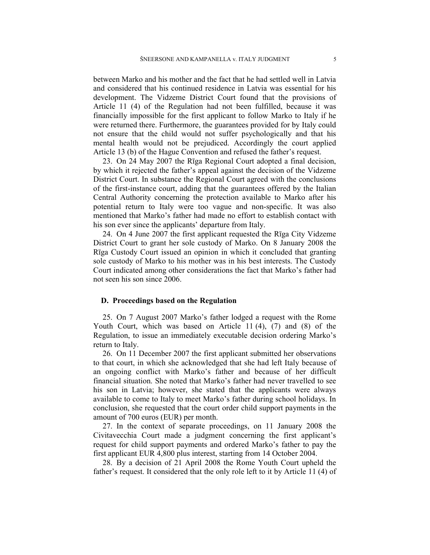between Marko and his mother and the fact that he had settled well in Latvia and considered that his continued residence in Latvia was essential for his development. The Vidzeme District Court found that the provisions of Article 11 (4) of the Regulation had not been fulfilled, because it was financially impossible for the first applicant to follow Marko to Italy if he were returned there. Furthermore, the guarantees provided for by Italy could not ensure that the child would not suffer psychologically and that his mental health would not be prejudiced. Accordingly the court applied Article 13 (b) of the Hague Convention and refused the father's request.

23. On 24 May 2007 the Rīga Regional Court adopted a final decision, by which it rejected the father's appeal against the decision of the Vidzeme District Court. In substance the Regional Court agreed with the conclusions of the first-instance court, adding that the guarantees offered by the Italian Central Authority concerning the protection available to Marko after his potential return to Italy were too vague and non-specific. It was also mentioned that Marko's father had made no effort to establish contact with his son ever since the applicants' departure from Italy.

24. On 4 June 2007 the first applicant requested the Rīga City Vidzeme District Court to grant her sole custody of Marko. On 8 January 2008 the Rīga Custody Court issued an opinion in which it concluded that granting sole custody of Marko to his mother was in his best interests. The Custody Court indicated among other considerations the fact that Marko's father had not seen his son since 2006.

## D. Proceedings based on the Regulation

25. On 7 August 2007 Marko's father lodged a request with the Rome Youth Court, which was based on Article 11 (4), (7) and (8) of the Regulation, to issue an immediately executable decision ordering Marko's return to Italy.

26. On 11 December 2007 the first applicant submitted her observations to that court, in which she acknowledged that she had left Italy because of an ongoing conflict with Marko's father and because of her difficult financial situation. She noted that Marko's father had never travelled to see his son in Latvia; however, she stated that the applicants were always available to come to Italy to meet Marko's father during school holidays. In conclusion, she requested that the court order child support payments in the amount of 700 euros (EUR) per month.

27. In the context of separate proceedings, on 11 January 2008 the Civitavecchia Court made a judgment concerning the first applicant's request for child support payments and ordered Marko's father to pay the first applicant EUR 4,800 plus interest, starting from 14 October 2004.

28. By a decision of 21 April 2008 the Rome Youth Court upheld the father's request. It considered that the only role left to it by Article 11 (4) of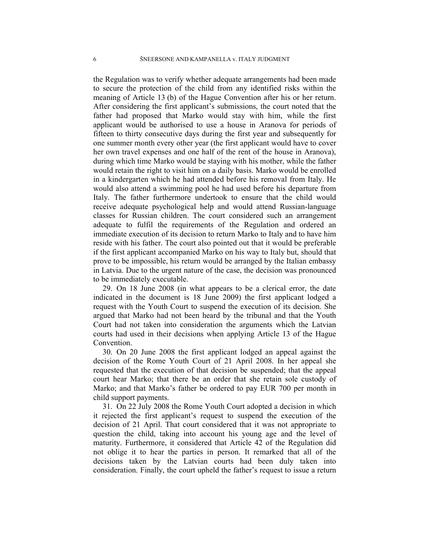the Regulation was to verify whether adequate arrangements had been made to secure the protection of the child from any identified risks within the meaning of Article 13 (b) of the Hague Convention after his or her return. After considering the first applicant's submissions, the court noted that the father had proposed that Marko would stay with him, while the first applicant would be authorised to use a house in Aranova for periods of fifteen to thirty consecutive days during the first year and subsequently for one summer month every other year (the first applicant would have to cover her own travel expenses and one half of the rent of the house in Aranova), during which time Marko would be staying with his mother, while the father would retain the right to visit him on a daily basis. Marko would be enrolled in a kindergarten which he had attended before his removal from Italy. He would also attend a swimming pool he had used before his departure from Italy. The father furthermore undertook to ensure that the child would receive adequate psychological help and would attend Russian-language classes for Russian children. The court considered such an arrangement adequate to fulfil the requirements of the Regulation and ordered an immediate execution of its decision to return Marko to Italy and to have him reside with his father. The court also pointed out that it would be preferable if the first applicant accompanied Marko on his way to Italy but, should that prove to be impossible, his return would be arranged by the Italian embassy in Latvia. Due to the urgent nature of the case, the decision was pronounced to be immediately executable.

29. On 18 June 2008 (in what appears to be a clerical error, the date indicated in the document is 18 June 2009) the first applicant lodged a request with the Youth Court to suspend the execution of its decision. She argued that Marko had not been heard by the tribunal and that the Youth Court had not taken into consideration the arguments which the Latvian courts had used in their decisions when applying Article 13 of the Hague Convention.

30. On 20 June 2008 the first applicant lodged an appeal against the decision of the Rome Youth Court of 21 April 2008. In her appeal she requested that the execution of that decision be suspended; that the appeal court hear Marko; that there be an order that she retain sole custody of Marko; and that Marko's father be ordered to pay EUR 700 per month in child support payments.

31. On 22 July 2008 the Rome Youth Court adopted a decision in which it rejected the first applicant's request to suspend the execution of the decision of 21 April. That court considered that it was not appropriate to question the child, taking into account his young age and the level of maturity. Furthermore, it considered that Article 42 of the Regulation did not oblige it to hear the parties in person. It remarked that all of the decisions taken by the Latvian courts had been duly taken into consideration. Finally, the court upheld the father's request to issue a return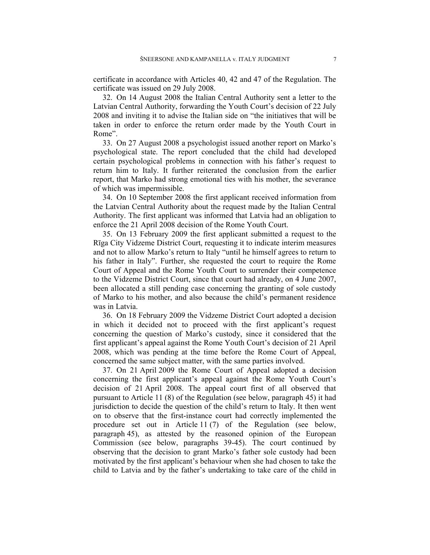certificate in accordance with Articles 40, 42 and 47 of the Regulation. The certificate was issued on 29 July 2008.

32. On 14 August 2008 the Italian Central Authority sent a letter to the Latvian Central Authority, forwarding the Youth Court's decision of 22 July 2008 and inviting it to advise the Italian side on "the initiatives that will be taken in order to enforce the return order made by the Youth Court in Rome".

33. On 27 August 2008 a psychologist issued another report on Marko's psychological state. The report concluded that the child had developed certain psychological problems in connection with his father's request to return him to Italy. It further reiterated the conclusion from the earlier report, that Marko had strong emotional ties with his mother, the severance of which was impermissible.

34. On 10 September 2008 the first applicant received information from the Latvian Central Authority about the request made by the Italian Central Authority. The first applicant was informed that Latvia had an obligation to enforce the 21 April 2008 decision of the Rome Youth Court.

35. On 13 February 2009 the first applicant submitted a request to the Rīga City Vidzeme District Court, requesting it to indicate interim measures and not to allow Marko's return to Italy "until he himself agrees to return to his father in Italy". Further, she requested the court to require the Rome Court of Appeal and the Rome Youth Court to surrender their competence to the Vidzeme District Court, since that court had already, on 4 June 2007, been allocated a still pending case concerning the granting of sole custody of Marko to his mother, and also because the child's permanent residence was in Latvia.

36. On 18 February 2009 the Vidzeme District Court adopted a decision in which it decided not to proceed with the first applicant's request concerning the question of Marko's custody, since it considered that the first applicant's appeal against the Rome Youth Court's decision of 21 April 2008, which was pending at the time before the Rome Court of Appeal, concerned the same subject matter, with the same parties involved.

37. On 21 April 2009 the Rome Court of Appeal adopted a decision concerning the first applicant's appeal against the Rome Youth Court's decision of 21 April 2008. The appeal court first of all observed that pursuant to Article 11 (8) of the Regulation (see below, paragraph 45) it had jurisdiction to decide the question of the child's return to Italy. It then went on to observe that the first-instance court had correctly implemented the procedure set out in Article 11 (7) of the Regulation (see below, paragraph 45), as attested by the reasoned opinion of the European Commission (see below, paragraphs 39-45). The court continued by observing that the decision to grant Marko's father sole custody had been motivated by the first applicant's behaviour when she had chosen to take the child to Latvia and by the father's undertaking to take care of the child in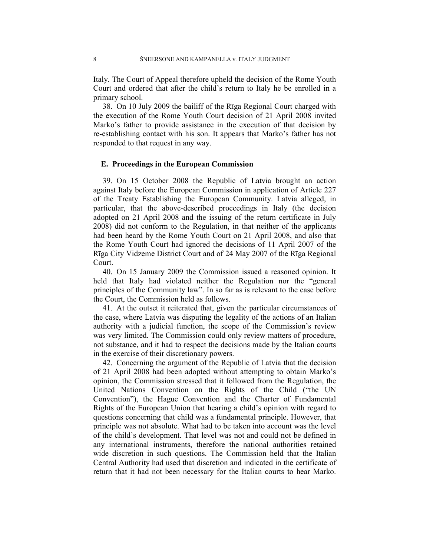Italy. The Court of Appeal therefore upheld the decision of the Rome Youth Court and ordered that after the child's return to Italy he be enrolled in a primary school.

38. On 10 July 2009 the bailiff of the Rīga Regional Court charged with the execution of the Rome Youth Court decision of 21 April 2008 invited Marko's father to provide assistance in the execution of that decision by re-establishing contact with his son. It appears that Marko's father has not responded to that request in any way.

## E. Proceedings in the European Commission

39. On 15 October 2008 the Republic of Latvia brought an action against Italy before the European Commission in application of Article 227 of the Treaty Establishing the European Community. Latvia alleged, in particular, that the above-described proceedings in Italy (the decision adopted on 21 April 2008 and the issuing of the return certificate in July 2008) did not conform to the Regulation, in that neither of the applicants had been heard by the Rome Youth Court on 21 April 2008, and also that the Rome Youth Court had ignored the decisions of 11 April 2007 of the Rīga City Vidzeme District Court and of 24 May 2007 of the Rīga Regional Court.

40. On 15 January 2009 the Commission issued a reasoned opinion. It held that Italy had violated neither the Regulation nor the "general principles of the Community law". In so far as is relevant to the case before the Court, the Commission held as follows.

41. At the outset it reiterated that, given the particular circumstances of the case, where Latvia was disputing the legality of the actions of an Italian authority with a judicial function, the scope of the Commission's review was very limited. The Commission could only review matters of procedure, not substance, and it had to respect the decisions made by the Italian courts in the exercise of their discretionary powers.

42. Concerning the argument of the Republic of Latvia that the decision of 21 April 2008 had been adopted without attempting to obtain Marko's opinion, the Commission stressed that it followed from the Regulation, the United Nations Convention on the Rights of the Child ("the UN Convention"), the Hague Convention and the Charter of Fundamental Rights of the European Union that hearing a child's opinion with regard to questions concerning that child was a fundamental principle. However, that principle was not absolute. What had to be taken into account was the level of the child's development. That level was not and could not be defined in any international instruments, therefore the national authorities retained wide discretion in such questions. The Commission held that the Italian Central Authority had used that discretion and indicated in the certificate of return that it had not been necessary for the Italian courts to hear Marko.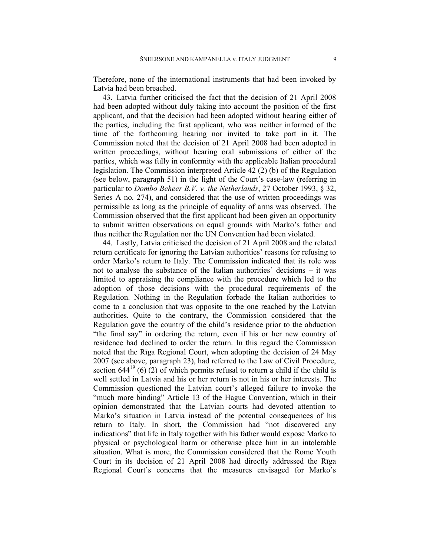Therefore, none of the international instruments that had been invoked by Latvia had been breached.

43. Latvia further criticised the fact that the decision of 21 April 2008 had been adopted without duly taking into account the position of the first applicant, and that the decision had been adopted without hearing either of the parties, including the first applicant, who was neither informed of the time of the forthcoming hearing nor invited to take part in it. The Commission noted that the decision of 21 April 2008 had been adopted in written proceedings, without hearing oral submissions of either of the parties, which was fully in conformity with the applicable Italian procedural legislation. The Commission interpreted Article 42 (2) (b) of the Regulation (see below, paragraph 51) in the light of the Court's case-law (referring in particular to *Dombo Beheer B.V. v. the Netherlands*, 27 October 1993, § 32, Series A no. 274), and considered that the use of written proceedings was permissible as long as the principle of equality of arms was observed. The Commission observed that the first applicant had been given an opportunity to submit written observations on equal grounds with Marko's father and thus neither the Regulation nor the UN Convention had been violated.

44. Lastly, Latvia criticised the decision of 21 April 2008 and the related return certificate for ignoring the Latvian authorities' reasons for refusing to order Marko's return to Italy. The Commission indicated that its role was not to analyse the substance of the Italian authorities' decisions – it was limited to appraising the compliance with the procedure which led to the adoption of those decisions with the procedural requirements of the Regulation. Nothing in the Regulation forbade the Italian authorities to come to a conclusion that was opposite to the one reached by the Latvian authorities. Quite to the contrary, the Commission considered that the Regulation gave the country of the child's residence prior to the abduction "the final say" in ordering the return, even if his or her new country of residence had declined to order the return. In this regard the Commission noted that the Rīga Regional Court, when adopting the decision of 24 May 2007 (see above, paragraph 23), had referred to the Law of Civil Procedure, section 644<sup>19</sup> (6) (2) of which permits refusal to return a child if the child is well settled in Latvia and his or her return is not in his or her interests. The Commission questioned the Latvian court's alleged failure to invoke the "much more binding" Article 13 of the Hague Convention, which in their opinion demonstrated that the Latvian courts had devoted attention to Marko's situation in Latvia instead of the potential consequences of his return to Italy. In short, the Commission had "not discovered any indications" that life in Italy together with his father would expose Marko to physical or psychological harm or otherwise place him in an intolerable situation. What is more, the Commission considered that the Rome Youth Court in its decision of 21 April 2008 had directly addressed the Rīga Regional Court's concerns that the measures envisaged for Marko's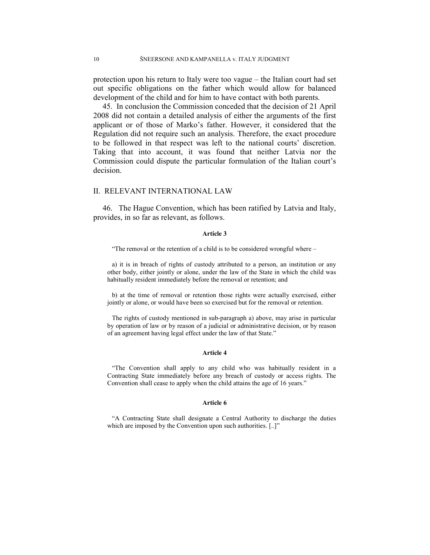protection upon his return to Italy were too vague – the Italian court had set out specific obligations on the father which would allow for balanced development of the child and for him to have contact with both parents.

45. In conclusion the Commission conceded that the decision of 21 April 2008 did not contain a detailed analysis of either the arguments of the first applicant or of those of Marko's father. However, it considered that the Regulation did not require such an analysis. Therefore, the exact procedure to be followed in that respect was left to the national courts' discretion. Taking that into account, it was found that neither Latvia nor the Commission could dispute the particular formulation of the Italian court's decision.

#### II. RELEVANT INTERNATIONAL LAW

46. The Hague Convention, which has been ratified by Latvia and Italy, provides, in so far as relevant, as follows.

#### Article 3

"The removal or the retention of a child is to be considered wrongful where –

a) it is in breach of rights of custody attributed to a person, an institution or any other body, either jointly or alone, under the law of the State in which the child was habitually resident immediately before the removal or retention; and

b) at the time of removal or retention those rights were actually exercised, either jointly or alone, or would have been so exercised but for the removal or retention.

The rights of custody mentioned in sub-paragraph a) above, may arise in particular by operation of law or by reason of a judicial or administrative decision, or by reason of an agreement having legal effect under the law of that State."

#### Article 4

"The Convention shall apply to any child who was habitually resident in a Contracting State immediately before any breach of custody or access rights. The Convention shall cease to apply when the child attains the age of 16 years."

#### Article 6

"A Contracting State shall designate a Central Authority to discharge the duties which are imposed by the Convention upon such authorities. [..]"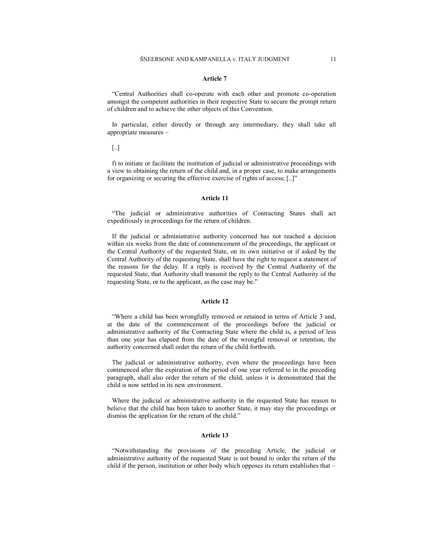#### Article 7

"Central Authorities shall co-operate with each other and promote co-operation amongst the competent authorities in their respective State to secure the prompt return of children and to achieve the other objects of this Convention.

In particular, either directly or through any intermediary, they shall take all appropriate measures –

[..]

f) to initiate or facilitate the institution of judicial or administrative proceedings with a view to obtaining the return of the child and, in a proper case, to make arrangements for organizing or securing the effective exercise of rights of access; [..]"

#### Article 11

"The judicial or administrative authorities of Contracting States shall act expeditiously in proceedings for the return of children.

If the judicial or administrative authority concerned has not reached a decision within six weeks from the date of commencement of the proceedings, the applicant or the Central Authority of the requested State, on its own initiative or if asked by the Central Authority of the requesting State, shall have the right to request a statement of the reasons for the delay. If a reply is received by the Central Authority of the requested State, that Authority shall transmit the reply to the Central Authority of the requesting State, or to the applicant, as the case may be."

#### Article 12

"Where a child has been wrongfully removed or retained in terms of Article 3 and, at the date of the commencement of the proceedings before the judicial or administrative authority of the Contracting State where the child is, a period of less than one year has elapsed from the date of the wrongful removal or retention, the authority concerned shall order the return of the child forthwith.

The judicial or administrative authority, even where the proceedings have been commenced after the expiration of the period of one year referred to in the preceding paragraph, shall also order the return of the child, unless it is demonstrated that the child is now settled in its new environment.

Where the judicial or administrative authority in the requested State has reason to believe that the child has been taken to another State, it may stay the proceedings or dismiss the application for the return of the child."

#### Article 13

"Notwithstanding the provisions of the preceding Article, the judicial or administrative authority of the requested State is not bound to order the return of the child if the person, institution or other body which opposes its return establishes that –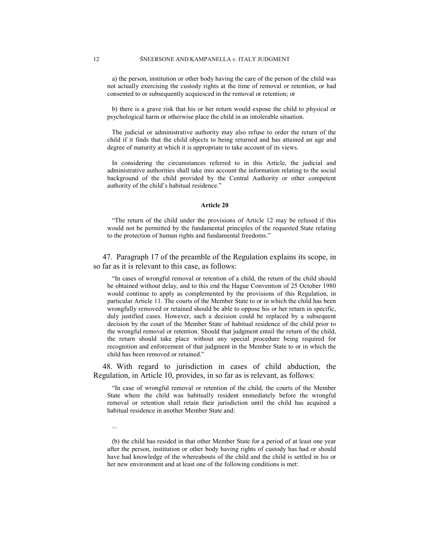a) the person, institution or other body having the care of the person of the child was not actually exercising the custody rights at the time of removal or retention, or had consented to or subsequently acquiesced in the removal or retention; or

b) there is a grave risk that his or her return would expose the child to physical or psychological harm or otherwise place the child in an intolerable situation.

The judicial or administrative authority may also refuse to order the return of the child if it finds that the child objects to being returned and has attained an age and degree of maturity at which it is appropriate to take account of its views.

In considering the circumstances referred to in this Article, the judicial and administrative authorities shall take into account the information relating to the social background of the child provided by the Central Authority or other competent authority of the child's habitual residence."

#### Article 20

"The return of the child under the provisions of Article 12 may be refused if this would not be permitted by the fundamental principles of the requested State relating to the protection of human rights and fundamental freedoms."

47. Paragraph 17 of the preamble of the Regulation explains its scope, in so far as it is relevant to this case, as follows:

"In cases of wrongful removal or retention of a child, the return of the child should be obtained without delay, and to this end the Hague Convention of 25 October 1980 would continue to apply as complemented by the provisions of this Regulation, in particular Article 11. The courts of the Member State to or in which the child has been wrongfully removed or retained should be able to oppose his or her return in specific, duly justified cases. However, such a decision could be replaced by a subsequent decision by the court of the Member State of habitual residence of the child prior to the wrongful removal or retention. Should that judgment entail the return of the child, the return should take place without any special procedure being required for recognition and enforcement of that judgment in the Member State to or in which the child has been removed or retained."

48. With regard to jurisdiction in cases of child abduction, the Regulation, in Article 10, provides, in so far as is relevant, as follows:

"In case of wrongful removal or retention of the child, the courts of the Member State where the child was habitually resident immediately before the wrongful removal or retention shall retain their jurisdiction until the child has acquired a habitual residence in another Member State and:

...

<sup>(</sup>b) the child has resided in that other Member State for a period of at least one year after the person, institution or other body having rights of custody has had or should have had knowledge of the whereabouts of the child and the child is settled in his or her new environment and at least one of the following conditions is met: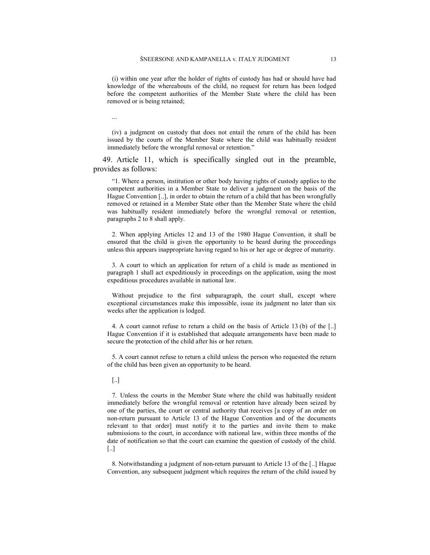(i) within one year after the holder of rights of custody has had or should have had knowledge of the whereabouts of the child, no request for return has been lodged before the competent authorities of the Member State where the child has been removed or is being retained;

(iv) a judgment on custody that does not entail the return of the child has been issued by the courts of the Member State where the child was habitually resident immediately before the wrongful removal or retention."

49. Article 11, which is specifically singled out in the preamble, provides as follows:

"1. Where a person, institution or other body having rights of custody applies to the competent authorities in a Member State to deliver a judgment on the basis of the Hague Convention [..], in order to obtain the return of a child that has been wrongfully removed or retained in a Member State other than the Member State where the child was habitually resident immediately before the wrongful removal or retention, paragraphs 2 to 8 shall apply.

2. When applying Articles 12 and 13 of the 1980 Hague Convention, it shall be ensured that the child is given the opportunity to be heard during the proceedings unless this appears inappropriate having regard to his or her age or degree of maturity.

3. A court to which an application for return of a child is made as mentioned in paragraph 1 shall act expeditiously in proceedings on the application, using the most expeditious procedures available in national law.

Without prejudice to the first subparagraph, the court shall, except where exceptional circumstances make this impossible, issue its judgment no later than six weeks after the application is lodged.

4. A court cannot refuse to return a child on the basis of Article 13 (b) of the [..] Hague Convention if it is established that adequate arrangements have been made to secure the protection of the child after his or her return.

5. A court cannot refuse to return a child unless the person who requested the return of the child has been given an opportunity to be heard.

## [..]

...

7. Unless the courts in the Member State where the child was habitually resident immediately before the wrongful removal or retention have already been seized by one of the parties, the court or central authority that receives [a copy of an order on non-return pursuant to Article 13 of the Hague Convention and of the documents relevant to that order] must notify it to the parties and invite them to make submissions to the court, in accordance with national law, within three months of the date of notification so that the court can examine the question of custody of the child. [..]

8. Notwithstanding a judgment of non-return pursuant to Article 13 of the [..] Hague Convention, any subsequent judgment which requires the return of the child issued by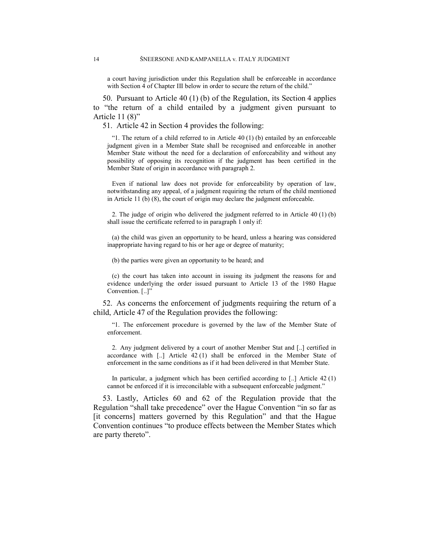a court having jurisdiction under this Regulation shall be enforceable in accordance with Section 4 of Chapter III below in order to secure the return of the child."

50. Pursuant to Article 40 (1) (b) of the Regulation, its Section 4 applies to "the return of a child entailed by a judgment given pursuant to Article 11 (8)"

51. Article 42 in Section 4 provides the following:

"1. The return of a child referred to in Article  $40(1)(b)$  entailed by an enforceable judgment given in a Member State shall be recognised and enforceable in another Member State without the need for a declaration of enforceability and without any possibility of opposing its recognition if the judgment has been certified in the Member State of origin in accordance with paragraph 2.

Even if national law does not provide for enforceability by operation of law, notwithstanding any appeal, of a judgment requiring the return of the child mentioned in Article 11 (b) (8), the court of origin may declare the judgment enforceable.

2. The judge of origin who delivered the judgment referred to in Article 40 (1) (b) shall issue the certificate referred to in paragraph 1 only if:

(a) the child was given an opportunity to be heard, unless a hearing was considered inappropriate having regard to his or her age or degree of maturity;

(b) the parties were given an opportunity to be heard; and

(c) the court has taken into account in issuing its judgment the reasons for and evidence underlying the order issued pursuant to Article 13 of the 1980 Hague Convention. [..]"

52. As concerns the enforcement of judgments requiring the return of a child, Article 47 of the Regulation provides the following:

"1. The enforcement procedure is governed by the law of the Member State of enforcement.

2. Any judgment delivered by a court of another Member Stat and [..] certified in accordance with [..] Article 42 (1) shall be enforced in the Member State of enforcement in the same conditions as if it had been delivered in that Member State.

In particular, a judgment which has been certified according to [..] Article 42 (1) cannot be enforced if it is irreconcilable with a subsequent enforceable judgment."

53. Lastly, Articles 60 and 62 of the Regulation provide that the Regulation "shall take precedence" over the Hague Convention "in so far as [it concerns] matters governed by this Regulation" and that the Hague Convention continues "to produce effects between the Member States which are party thereto".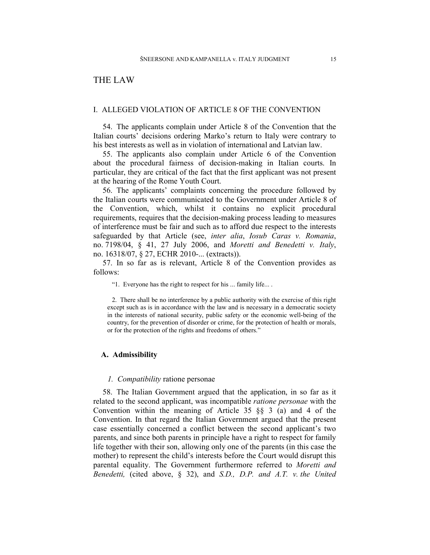# THE LAW

## I. ALLEGED VIOLATION OF ARTICLE 8 OF THE CONVENTION

54. The applicants complain under Article 8 of the Convention that the Italian courts' decisions ordering Marko's return to Italy were contrary to his best interests as well as in violation of international and Latvian law.

55. The applicants also complain under Article 6 of the Convention about the procedural fairness of decision-making in Italian courts. In particular, they are critical of the fact that the first applicant was not present at the hearing of the Rome Youth Court.

56. The applicants' complaints concerning the procedure followed by the Italian courts were communicated to the Government under Article 8 of the Convention, which, whilst it contains no explicit procedural requirements, requires that the decision-making process leading to measures of interference must be fair and such as to afford due respect to the interests safeguarded by that Article (see, *inter alia*, *Iosub Caras v. Romania*, no. 7198/04, § 41, 27 July 2006, and Moretti and Benedetti v. Italy, no. 16318/07, § 27, ECHR 2010-... (extracts)).

57. In so far as is relevant, Article 8 of the Convention provides as follows:

"1. Everyone has the right to respect for his ... family life... .

2. There shall be no interference by a public authority with the exercise of this right except such as is in accordance with the law and is necessary in a democratic society in the interests of national security, public safety or the economic well-being of the country, for the prevention of disorder or crime, for the protection of health or morals, or for the protection of the rights and freedoms of others."

## A. Admissibility

## 1. Compatibility ratione personae

58. The Italian Government argued that the application, in so far as it related to the second applicant, was incompatible *ratione personae* with the Convention within the meaning of Article 35 §§ 3 (a) and 4 of the Convention. In that regard the Italian Government argued that the present case essentially concerned a conflict between the second applicant's two parents, and since both parents in principle have a right to respect for family life together with their son, allowing only one of the parents (in this case the mother) to represent the child's interests before the Court would disrupt this parental equality. The Government furthermore referred to Moretti and Benedetti, (cited above,  $\S$  32), and S.D., D.P. and A.T. v. the United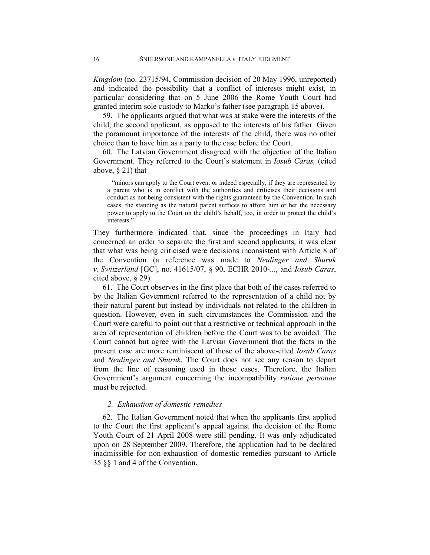Kingdom (no. 23715/94, Commission decision of 20 May 1996, unreported) and indicated the possibility that a conflict of interests might exist, in particular considering that on 5 June 2006 the Rome Youth Court had granted interim sole custody to Marko's father (see paragraph 15 above).

59. The applicants argued that what was at stake were the interests of the child, the second applicant, as opposed to the interests of his father. Given the paramount importance of the interests of the child, there was no other choice than to have him as a party to the case before the Court.

60. The Latvian Government disagreed with the objection of the Italian Government. They referred to the Court's statement in Iosub Caras, (cited above,  $\S$  21) that

"minors can apply to the Court even, or indeed especially, if they are represented by a parent who is in conflict with the authorities and criticises their decisions and conduct as not being consistent with the rights guaranteed by the Convention. In such cases, the standing as the natural parent suffices to afford him or her the necessary power to apply to the Court on the child's behalf, too, in order to protect the child's interests."

They furthermore indicated that, since the proceedings in Italy had concerned an order to separate the first and second applicants, it was clear that what was being criticised were decisions inconsistent with Article 8 of the Convention (a reference was made to Neulinger and Shuruk v. Switzerland [GC], no. 41615/07, § 90, ECHR 2010-..., and Iosub Caras, cited above, § 29).

61. The Court observes in the first place that both of the cases referred to by the Italian Government referred to the representation of a child not by their natural parent but instead by individuals not related to the children in question. However, even in such circumstances the Commission and the Court were careful to point out that a restrictive or technical approach in the area of representation of children before the Court was to be avoided. The Court cannot but agree with the Latvian Government that the facts in the present case are more reminiscent of those of the above-cited Iosub Caras and Neulinger and Shuruk. The Court does not see any reason to depart from the line of reasoning used in those cases. Therefore, the Italian Government's argument concerning the incompatibility *ratione personae* must be rejected.

## 2. Exhaustion of domestic remedies

62. The Italian Government noted that when the applicants first applied to the Court the first applicant's appeal against the decision of the Rome Youth Court of 21 April 2008 were still pending. It was only adjudicated upon on 28 September 2009. Therefore, the application had to be declared inadmissible for non-exhaustion of domestic remedies pursuant to Article 35 §§ 1 and 4 of the Convention.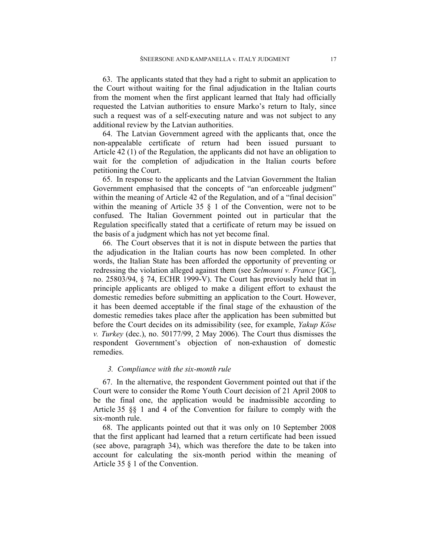63. The applicants stated that they had a right to submit an application to the Court without waiting for the final adjudication in the Italian courts from the moment when the first applicant learned that Italy had officially requested the Latvian authorities to ensure Marko's return to Italy, since such a request was of a self-executing nature and was not subject to any additional review by the Latvian authorities.

64. The Latvian Government agreed with the applicants that, once the non-appealable certificate of return had been issued pursuant to Article 42 (1) of the Regulation, the applicants did not have an obligation to wait for the completion of adjudication in the Italian courts before petitioning the Court.

65. In response to the applicants and the Latvian Government the Italian Government emphasised that the concepts of "an enforceable judgment" within the meaning of Article 42 of the Regulation, and of a "final decision" within the meaning of Article 35  $\S$  1 of the Convention, were not to be confused. The Italian Government pointed out in particular that the Regulation specifically stated that a certificate of return may be issued on the basis of a judgment which has not yet become final.

66. The Court observes that it is not in dispute between the parties that the adjudication in the Italian courts has now been completed. In other words, the Italian State has been afforded the opportunity of preventing or redressing the violation alleged against them (see Selmouni v. France [GC], no. 25803/94, § 74, ECHR 1999-V). The Court has previously held that in principle applicants are obliged to make a diligent effort to exhaust the domestic remedies before submitting an application to the Court. However, it has been deemed acceptable if the final stage of the exhaustion of the domestic remedies takes place after the application has been submitted but before the Court decides on its admissibility (see, for example, *Yakup Köse* v. Turkey (dec.), no. 50177/99, 2 May 2006). The Court thus dismisses the respondent Government's objection of non-exhaustion of domestic remedies.

### 3. Compliance with the six-month rule

67. In the alternative, the respondent Government pointed out that if the Court were to consider the Rome Youth Court decision of 21 April 2008 to be the final one, the application would be inadmissible according to Article 35 §§ 1 and 4 of the Convention for failure to comply with the six-month rule.

68. The applicants pointed out that it was only on 10 September 2008 that the first applicant had learned that a return certificate had been issued (see above, paragraph 34), which was therefore the date to be taken into account for calculating the six-month period within the meaning of Article 35 § 1 of the Convention.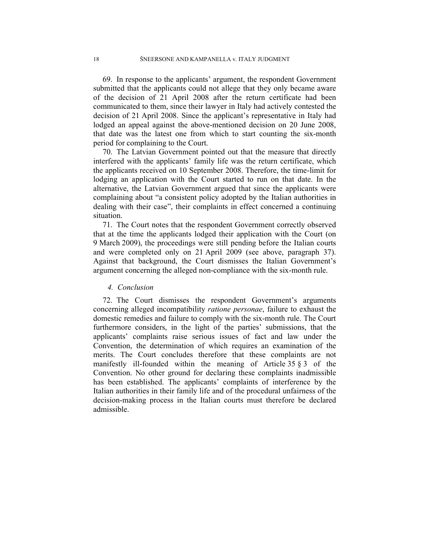69. In response to the applicants' argument, the respondent Government submitted that the applicants could not allege that they only became aware of the decision of 21 April 2008 after the return certificate had been communicated to them, since their lawyer in Italy had actively contested the decision of 21 April 2008. Since the applicant's representative in Italy had lodged an appeal against the above-mentioned decision on 20 June 2008, that date was the latest one from which to start counting the six-month period for complaining to the Court.

70. The Latvian Government pointed out that the measure that directly interfered with the applicants' family life was the return certificate, which the applicants received on 10 September 2008. Therefore, the time-limit for lodging an application with the Court started to run on that date. In the alternative, the Latvian Government argued that since the applicants were complaining about "a consistent policy adopted by the Italian authorities in dealing with their case", their complaints in effect concerned a continuing situation.

71. The Court notes that the respondent Government correctly observed that at the time the applicants lodged their application with the Court (on 9 March 2009), the proceedings were still pending before the Italian courts and were completed only on 21 April 2009 (see above, paragraph 37). Against that background, the Court dismisses the Italian Government's argument concerning the alleged non-compliance with the six-month rule.

## 4. Conclusion

72. The Court dismisses the respondent Government's arguments concerning alleged incompatibility ratione personae, failure to exhaust the domestic remedies and failure to comply with the six-month rule. The Court furthermore considers, in the light of the parties' submissions, that the applicants' complaints raise serious issues of fact and law under the Convention, the determination of which requires an examination of the merits. The Court concludes therefore that these complaints are not manifestly ill-founded within the meaning of Article 35 § 3 of the Convention. No other ground for declaring these complaints inadmissible has been established. The applicants' complaints of interference by the Italian authorities in their family life and of the procedural unfairness of the decision-making process in the Italian courts must therefore be declared admissible.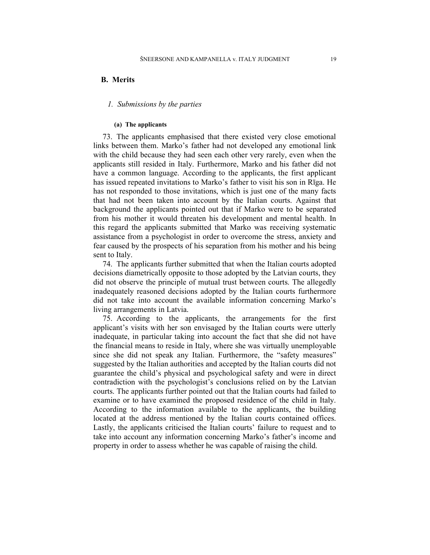## B. Merits

## 1. Submissions by the parties

## (a) The applicants

73. The applicants emphasised that there existed very close emotional links between them. Marko's father had not developed any emotional link with the child because they had seen each other very rarely, even when the applicants still resided in Italy. Furthermore, Marko and his father did not have a common language. According to the applicants, the first applicant has issued repeated invitations to Marko's father to visit his son in Rīga. He has not responded to those invitations, which is just one of the many facts that had not been taken into account by the Italian courts. Against that background the applicants pointed out that if Marko were to be separated from his mother it would threaten his development and mental health. In this regard the applicants submitted that Marko was receiving systematic assistance from a psychologist in order to overcome the stress, anxiety and fear caused by the prospects of his separation from his mother and his being sent to Italy.

74. The applicants further submitted that when the Italian courts adopted decisions diametrically opposite to those adopted by the Latvian courts, they did not observe the principle of mutual trust between courts. The allegedly inadequately reasoned decisions adopted by the Italian courts furthermore did not take into account the available information concerning Marko's living arrangements in Latvia.

75. According to the applicants, the arrangements for the first applicant's visits with her son envisaged by the Italian courts were utterly inadequate, in particular taking into account the fact that she did not have the financial means to reside in Italy, where she was virtually unemployable since she did not speak any Italian. Furthermore, the "safety measures" suggested by the Italian authorities and accepted by the Italian courts did not guarantee the child's physical and psychological safety and were in direct contradiction with the psychologist's conclusions relied on by the Latvian courts. The applicants further pointed out that the Italian courts had failed to examine or to have examined the proposed residence of the child in Italy. According to the information available to the applicants, the building located at the address mentioned by the Italian courts contained offices. Lastly, the applicants criticised the Italian courts' failure to request and to take into account any information concerning Marko's father's income and property in order to assess whether he was capable of raising the child.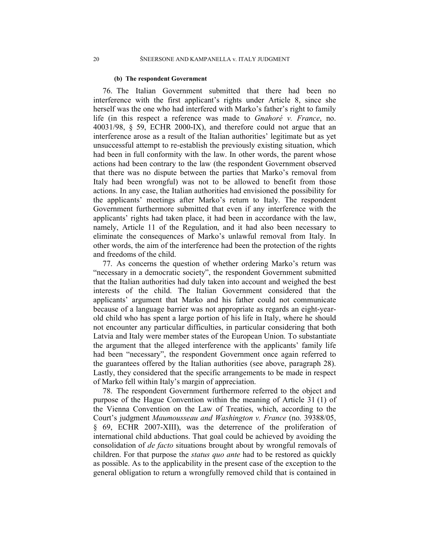#### (b) The respondent Government

76. The Italian Government submitted that there had been no interference with the first applicant's rights under Article 8, since she herself was the one who had interfered with Marko's father's right to family life (in this respect a reference was made to Gnahoré v. France, no. 40031/98, § 59, ECHR 2000-IX), and therefore could not argue that an interference arose as a result of the Italian authorities' legitimate but as yet unsuccessful attempt to re-establish the previously existing situation, which had been in full conformity with the law. In other words, the parent whose actions had been contrary to the law (the respondent Government observed that there was no dispute between the parties that Marko's removal from Italy had been wrongful) was not to be allowed to benefit from those actions. In any case, the Italian authorities had envisioned the possibility for the applicants' meetings after Marko's return to Italy. The respondent Government furthermore submitted that even if any interference with the applicants' rights had taken place, it had been in accordance with the law, namely, Article 11 of the Regulation, and it had also been necessary to eliminate the consequences of Marko's unlawful removal from Italy. In other words, the aim of the interference had been the protection of the rights and freedoms of the child.

77. As concerns the question of whether ordering Marko's return was "necessary in a democratic society", the respondent Government submitted that the Italian authorities had duly taken into account and weighed the best interests of the child. The Italian Government considered that the applicants' argument that Marko and his father could not communicate because of a language barrier was not appropriate as regards an eight-yearold child who has spent a large portion of his life in Italy, where he should not encounter any particular difficulties, in particular considering that both Latvia and Italy were member states of the European Union. To substantiate the argument that the alleged interference with the applicants' family life had been "necessary", the respondent Government once again referred to the guarantees offered by the Italian authorities (see above, paragraph 28). Lastly, they considered that the specific arrangements to be made in respect of Marko fell within Italy's margin of appreciation.

78. The respondent Government furthermore referred to the object and purpose of the Hague Convention within the meaning of Article 31 (1) of the Vienna Convention on the Law of Treaties, which, according to the Court's judgment Maumousseau and Washington v. France (no. 39388/05, § 69, ECHR 2007-XIII), was the deterrence of the proliferation of international child abductions. That goal could be achieved by avoiding the consolidation of de facto situations brought about by wrongful removals of children. For that purpose the *status quo ante* had to be restored as quickly as possible. As to the applicability in the present case of the exception to the general obligation to return a wrongfully removed child that is contained in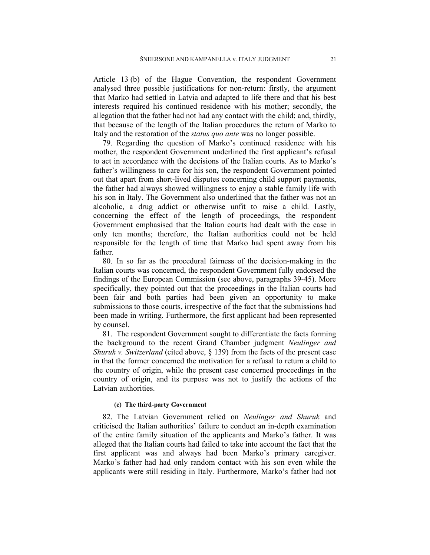Article 13 (b) of the Hague Convention, the respondent Government analysed three possible justifications for non-return: firstly, the argument that Marko had settled in Latvia and adapted to life there and that his best interests required his continued residence with his mother; secondly, the allegation that the father had not had any contact with the child; and, thirdly, that because of the length of the Italian procedures the return of Marko to Italy and the restoration of the status quo ante was no longer possible.

79. Regarding the question of Marko's continued residence with his mother, the respondent Government underlined the first applicant's refusal to act in accordance with the decisions of the Italian courts. As to Marko's father's willingness to care for his son, the respondent Government pointed out that apart from short-lived disputes concerning child support payments, the father had always showed willingness to enjoy a stable family life with his son in Italy. The Government also underlined that the father was not an alcoholic, a drug addict or otherwise unfit to raise a child. Lastly, concerning the effect of the length of proceedings, the respondent Government emphasised that the Italian courts had dealt with the case in only ten months; therefore, the Italian authorities could not be held responsible for the length of time that Marko had spent away from his father.

80. In so far as the procedural fairness of the decision-making in the Italian courts was concerned, the respondent Government fully endorsed the findings of the European Commission (see above, paragraphs 39-45). More specifically, they pointed out that the proceedings in the Italian courts had been fair and both parties had been given an opportunity to make submissions to those courts, irrespective of the fact that the submissions had been made in writing. Furthermore, the first applicant had been represented by counsel.

81. The respondent Government sought to differentiate the facts forming the background to the recent Grand Chamber judgment Neulinger and Shuruk v. Switzerland (cited above,  $\S$  139) from the facts of the present case in that the former concerned the motivation for a refusal to return a child to the country of origin, while the present case concerned proceedings in the country of origin, and its purpose was not to justify the actions of the Latvian authorities.

## (c) The third-party Government

82. The Latvian Government relied on Neulinger and Shuruk and criticised the Italian authorities' failure to conduct an in-depth examination of the entire family situation of the applicants and Marko's father. It was alleged that the Italian courts had failed to take into account the fact that the first applicant was and always had been Marko's primary caregiver. Marko's father had had only random contact with his son even while the applicants were still residing in Italy. Furthermore, Marko's father had not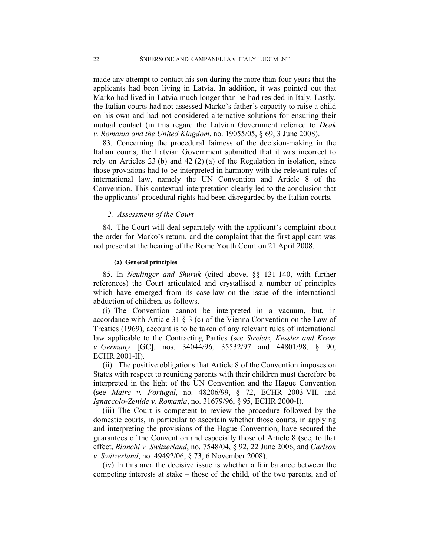made any attempt to contact his son during the more than four years that the applicants had been living in Latvia. In addition, it was pointed out that Marko had lived in Latvia much longer than he had resided in Italy. Lastly, the Italian courts had not assessed Marko's father's capacity to raise a child on his own and had not considered alternative solutions for ensuring their mutual contact (in this regard the Latvian Government referred to Deak v. Romania and the United Kingdom, no.  $19055/05$ ,  $\S$  69, 3 June 2008).

83. Concerning the procedural fairness of the decision-making in the Italian courts, the Latvian Government submitted that it was incorrect to rely on Articles 23 (b) and 42 (2) (a) of the Regulation in isolation, since those provisions had to be interpreted in harmony with the relevant rules of international law, namely the UN Convention and Article 8 of the Convention. This contextual interpretation clearly led to the conclusion that the applicants' procedural rights had been disregarded by the Italian courts.

## 2. Assessment of the Court

84. The Court will deal separately with the applicant's complaint about the order for Marko's return, and the complaint that the first applicant was not present at the hearing of the Rome Youth Court on 21 April 2008.

## (a) General principles

85. In Neulinger and Shuruk (cited above, §§ 131-140, with further references) the Court articulated and crystallised a number of principles which have emerged from its case-law on the issue of the international abduction of children, as follows.

(i) The Convention cannot be interpreted in a vacuum, but, in accordance with Article 31 § 3 (c) of the Vienna Convention on the Law of Treaties (1969), account is to be taken of any relevant rules of international law applicable to the Contracting Parties (see Streletz, Kessler and Krenz v. Germany [GC], nos. 34044/96, 35532/97 and 44801/98, § 90, ECHR 2001-II).

(ii) The positive obligations that Article 8 of the Convention imposes on States with respect to reuniting parents with their children must therefore be interpreted in the light of the UN Convention and the Hague Convention (see Maire v. Portugal, no. 48206/99, § 72, ECHR 2003-VII, and Ignaccolo-Zenide v. Romania, no. 31679/96, § 95, ECHR 2000-I).

(iii) The Court is competent to review the procedure followed by the domestic courts, in particular to ascertain whether those courts, in applying and interpreting the provisions of the Hague Convention, have secured the guarantees of the Convention and especially those of Article 8 (see, to that effect, Bianchi v. Switzerland, no. 7548/04, § 92, 22 June 2006, and Carlson v. Switzerland, no. 49492/06, § 73, 6 November 2008).

(iv) In this area the decisive issue is whether a fair balance between the competing interests at stake – those of the child, of the two parents, and of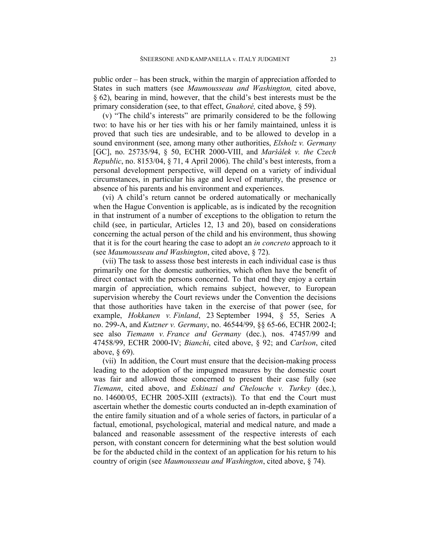public order – has been struck, within the margin of appreciation afforded to States in such matters (see Maumousseau and Washington, cited above, § 62), bearing in mind, however, that the child's best interests must be the primary consideration (see, to that effect, *Gnahoré*, cited above, § 59).

(v) "The child's interests" are primarily considered to be the following two: to have his or her ties with his or her family maintained, unless it is proved that such ties are undesirable, and to be allowed to develop in a sound environment (see, among many other authorities, *Elsholz v. Germany* [GC], no. 25735/94, § 50, ECHR 2000-VIII, and Maršálek v. the Czech Republic, no. 8153/04, § 71, 4 April 2006). The child's best interests, from a personal development perspective, will depend on a variety of individual circumstances, in particular his age and level of maturity, the presence or absence of his parents and his environment and experiences.

(vi) A child's return cannot be ordered automatically or mechanically when the Hague Convention is applicable, as is indicated by the recognition in that instrument of a number of exceptions to the obligation to return the child (see, in particular, Articles 12, 13 and 20), based on considerations concerning the actual person of the child and his environment, thus showing that it is for the court hearing the case to adopt an *in concreto* approach to it (see Maumousseau and Washington, cited above, § 72).

(vii) The task to assess those best interests in each individual case is thus primarily one for the domestic authorities, which often have the benefit of direct contact with the persons concerned. To that end they enjoy a certain margin of appreciation, which remains subject, however, to European supervision whereby the Court reviews under the Convention the decisions that those authorities have taken in the exercise of that power (see, for example, Hokkanen v. Finland, 23 September 1994, § 55, Series A no. 299-A, and Kutzner v. Germany, no. 46544/99, §§ 65-66, ECHR 2002-I; see also Tiemann v. France and Germany (dec.), nos. 47457/99 and 47458/99, ECHR 2000-IV; Bianchi, cited above, § 92; and Carlson, cited above, § 69).

(vii) In addition, the Court must ensure that the decision-making process leading to the adoption of the impugned measures by the domestic court was fair and allowed those concerned to present their case fully (see Tiemann, cited above, and Eskinazi and Chelouche v. Turkey (dec.), no. 14600/05, ECHR 2005-XIII (extracts)). To that end the Court must ascertain whether the domestic courts conducted an in-depth examination of the entire family situation and of a whole series of factors, in particular of a factual, emotional, psychological, material and medical nature, and made a balanced and reasonable assessment of the respective interests of each person, with constant concern for determining what the best solution would be for the abducted child in the context of an application for his return to his country of origin (see Maumousseau and Washington, cited above, § 74).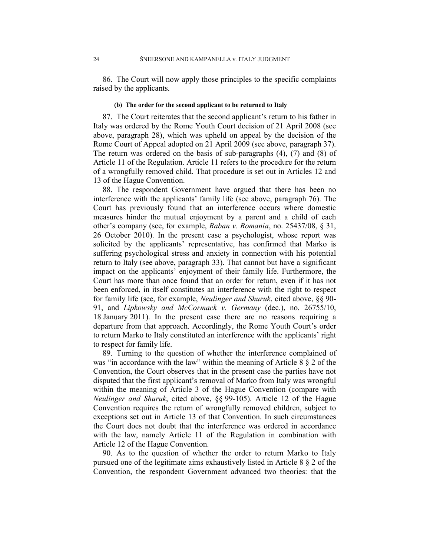86. The Court will now apply those principles to the specific complaints raised by the applicants.

#### (b) The order for the second applicant to be returned to Italy

87. The Court reiterates that the second applicant's return to his father in Italy was ordered by the Rome Youth Court decision of 21 April 2008 (see above, paragraph 28), which was upheld on appeal by the decision of the Rome Court of Appeal adopted on 21 April 2009 (see above, paragraph 37). The return was ordered on the basis of sub-paragraphs (4), (7) and (8) of Article 11 of the Regulation. Article 11 refers to the procedure for the return of a wrongfully removed child. That procedure is set out in Articles 12 and 13 of the Hague Convention.

88. The respondent Government have argued that there has been no interference with the applicants' family life (see above, paragraph 76). The Court has previously found that an interference occurs where domestic measures hinder the mutual enjoyment by a parent and a child of each other's company (see, for example, Raban v. Romania, no. 25437/08, § 31, 26 October 2010). In the present case a psychologist, whose report was solicited by the applicants' representative, has confirmed that Marko is suffering psychological stress and anxiety in connection with his potential return to Italy (see above, paragraph 33). That cannot but have a significant impact on the applicants' enjoyment of their family life. Furthermore, the Court has more than once found that an order for return, even if it has not been enforced, in itself constitutes an interference with the right to respect for family life (see, for example, Neulinger and Shuruk, cited above, §§ 90- 91, and Lipkowsky and McCormack v. Germany (dec.), no. 26755/10, 18 January 2011). In the present case there are no reasons requiring a departure from that approach. Accordingly, the Rome Youth Court's order to return Marko to Italy constituted an interference with the applicants' right to respect for family life.

89. Turning to the question of whether the interference complained of was "in accordance with the law" within the meaning of Article 8 § 2 of the Convention, the Court observes that in the present case the parties have not disputed that the first applicant's removal of Marko from Italy was wrongful within the meaning of Article 3 of the Hague Convention (compare with Neulinger and Shuruk, cited above, §§ 99-105). Article 12 of the Hague Convention requires the return of wrongfully removed children, subject to exceptions set out in Article 13 of that Convention. In such circumstances the Court does not doubt that the interference was ordered in accordance with the law, namely Article 11 of the Regulation in combination with Article 12 of the Hague Convention.

90. As to the question of whether the order to return Marko to Italy pursued one of the legitimate aims exhaustively listed in Article 8 § 2 of the Convention, the respondent Government advanced two theories: that the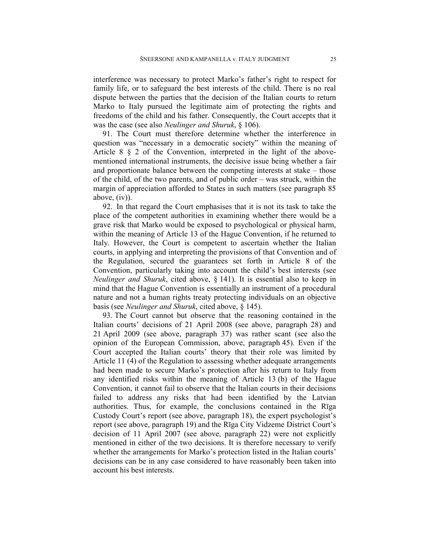interference was necessary to protect Marko's father's right to respect for family life, or to safeguard the best interests of the child. There is no real dispute between the parties that the decision of the Italian courts to return Marko to Italy pursued the legitimate aim of protecting the rights and freedoms of the child and his father. Consequently, the Court accepts that it was the case (see also *Neulinger and Shuruk*, § 106).

91. The Court must therefore determine whether the interference in question was "necessary in a democratic society" within the meaning of Article 8 § 2 of the Convention, interpreted in the light of the abovementioned international instruments, the decisive issue being whether a fair and proportionate balance between the competing interests at stake – those of the child, of the two parents, and of public order – was struck, within the margin of appreciation afforded to States in such matters (see paragraph 85 above, (iv)).

92. In that regard the Court emphasises that it is not its task to take the place of the competent authorities in examining whether there would be a grave risk that Marko would be exposed to psychological or physical harm, within the meaning of Article 13 of the Hague Convention, if he returned to Italy. However, the Court is competent to ascertain whether the Italian courts, in applying and interpreting the provisions of that Convention and of the Regulation, secured the guarantees set forth in Article 8 of the Convention, particularly taking into account the child's best interests (see Neulinger and Shuruk, cited above, § 141). It is essential also to keep in mind that the Hague Convention is essentially an instrument of a procedural nature and not a human rights treaty protecting individuals on an objective basis (see Neulinger and Shuruk, cited above, § 145).

93. The Court cannot but observe that the reasoning contained in the Italian courts' decisions of 21 April 2008 (see above, paragraph 28) and 21 April 2009 (see above, paragraph 37) was rather scant (see also the opinion of the European Commission, above, paragraph 45). Even if the Court accepted the Italian courts' theory that their role was limited by Article 11 (4) of the Regulation to assessing whether adequate arrangements had been made to secure Marko's protection after his return to Italy from any identified risks within the meaning of Article 13 (b) of the Hague Convention, it cannot fail to observe that the Italian courts in their decisions failed to address any risks that had been identified by the Latvian authorities. Thus, for example, the conclusions contained in the Rīga Custody Court's report (see above, paragraph 18), the expert psychologist's report (see above, paragraph 19) and the Rīga City Vidzeme District Court's decision of 11 April 2007 (see above, paragraph 22) were not explicitly mentioned in either of the two decisions. It is therefore necessary to verify whether the arrangements for Marko's protection listed in the Italian courts' decisions can be in any case considered to have reasonably been taken into account his best interests.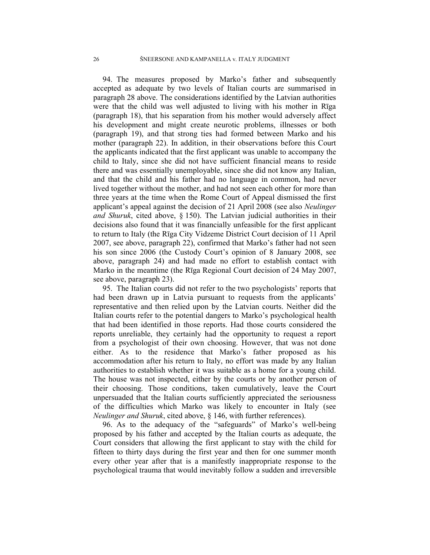94. The measures proposed by Marko's father and subsequently accepted as adequate by two levels of Italian courts are summarised in paragraph 28 above. The considerations identified by the Latvian authorities were that the child was well adjusted to living with his mother in Rīga (paragraph 18), that his separation from his mother would adversely affect his development and might create neurotic problems, illnesses or both (paragraph 19), and that strong ties had formed between Marko and his mother (paragraph 22). In addition, in their observations before this Court the applicants indicated that the first applicant was unable to accompany the child to Italy, since she did not have sufficient financial means to reside there and was essentially unemployable, since she did not know any Italian, and that the child and his father had no language in common, had never lived together without the mother, and had not seen each other for more than three years at the time when the Rome Court of Appeal dismissed the first applicant's appeal against the decision of 21 April 2008 (see also Neulinger and Shuruk, cited above,  $\S$  150). The Latvian judicial authorities in their decisions also found that it was financially unfeasible for the first applicant to return to Italy (the Rīga City Vidzeme District Court decision of 11 April 2007, see above, paragraph 22), confirmed that Marko's father had not seen his son since 2006 (the Custody Court's opinion of 8 January 2008, see above, paragraph 24) and had made no effort to establish contact with Marko in the meantime (the Rīga Regional Court decision of 24 May 2007, see above, paragraph 23).

95. The Italian courts did not refer to the two psychologists' reports that had been drawn up in Latvia pursuant to requests from the applicants' representative and then relied upon by the Latvian courts. Neither did the Italian courts refer to the potential dangers to Marko's psychological health that had been identified in those reports. Had those courts considered the reports unreliable, they certainly had the opportunity to request a report from a psychologist of their own choosing. However, that was not done either. As to the residence that Marko's father proposed as his accommodation after his return to Italy, no effort was made by any Italian authorities to establish whether it was suitable as a home for a young child. The house was not inspected, either by the courts or by another person of their choosing. Those conditions, taken cumulatively, leave the Court unpersuaded that the Italian courts sufficiently appreciated the seriousness of the difficulties which Marko was likely to encounter in Italy (see Neulinger and Shuruk, cited above, § 146, with further references).

96. As to the adequacy of the "safeguards" of Marko's well-being proposed by his father and accepted by the Italian courts as adequate, the Court considers that allowing the first applicant to stay with the child for fifteen to thirty days during the first year and then for one summer month every other year after that is a manifestly inappropriate response to the psychological trauma that would inevitably follow a sudden and irreversible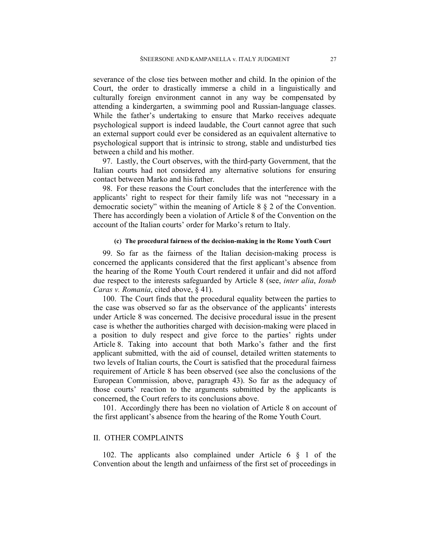severance of the close ties between mother and child. In the opinion of the Court, the order to drastically immerse a child in a linguistically and culturally foreign environment cannot in any way be compensated by attending a kindergarten, a swimming pool and Russian-language classes. While the father's undertaking to ensure that Marko receives adequate psychological support is indeed laudable, the Court cannot agree that such an external support could ever be considered as an equivalent alternative to psychological support that is intrinsic to strong, stable and undisturbed ties between a child and his mother.

97. Lastly, the Court observes, with the third-party Government, that the Italian courts had not considered any alternative solutions for ensuring contact between Marko and his father.

98. For these reasons the Court concludes that the interference with the applicants' right to respect for their family life was not "necessary in a democratic society" within the meaning of Article 8 § 2 of the Convention. There has accordingly been a violation of Article 8 of the Convention on the account of the Italian courts' order for Marko's return to Italy.

#### (c) The procedural fairness of the decision-making in the Rome Youth Court

99. So far as the fairness of the Italian decision-making process is concerned the applicants considered that the first applicant's absence from the hearing of the Rome Youth Court rendered it unfair and did not afford due respect to the interests safeguarded by Article 8 (see, inter alia, Iosub Caras v. Romania, cited above, § 41).

100. The Court finds that the procedural equality between the parties to the case was observed so far as the observance of the applicants' interests under Article 8 was concerned. The decisive procedural issue in the present case is whether the authorities charged with decision-making were placed in a position to duly respect and give force to the parties' rights under Article 8. Taking into account that both Marko's father and the first applicant submitted, with the aid of counsel, detailed written statements to two levels of Italian courts, the Court is satisfied that the procedural fairness requirement of Article 8 has been observed (see also the conclusions of the European Commission, above, paragraph 43). So far as the adequacy of those courts' reaction to the arguments submitted by the applicants is concerned, the Court refers to its conclusions above.

101. Accordingly there has been no violation of Article 8 on account of the first applicant's absence from the hearing of the Rome Youth Court.

### II. OTHER COMPLAINTS

102. The applicants also complained under Article 6 § 1 of the Convention about the length and unfairness of the first set of proceedings in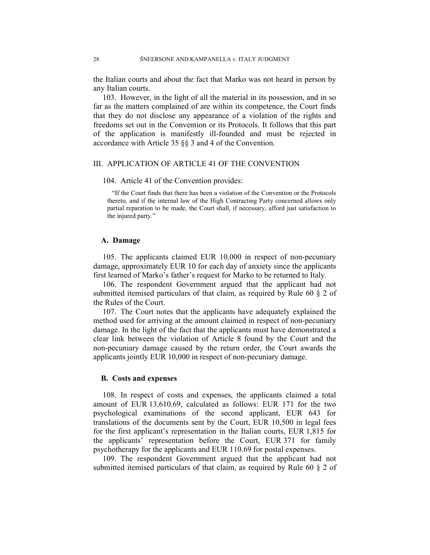the Italian courts and about the fact that Marko was not heard in person by any Italian courts.

103. However, in the light of all the material in its possession, and in so far as the matters complained of are within its competence, the Court finds that they do not disclose any appearance of a violation of the rights and freedoms set out in the Convention or its Protocols. It follows that this part of the application is manifestly ill-founded and must be rejected in accordance with Article 35 §§ 3 and 4 of the Convention.

## III. APPLICATION OF ARTICLE 41 OF THE CONVENTION

#### 104. Article 41 of the Convention provides:

"If the Court finds that there has been a violation of the Convention or the Protocols thereto, and if the internal law of the High Contracting Party concerned allows only partial reparation to be made, the Court shall, if necessary, afford just satisfaction to the injured party."

#### A. Damage

105. The applicants claimed EUR 10,000 in respect of non-pecuniary damage, approximately EUR 10 for each day of anxiety since the applicants first learned of Marko's father's request for Marko to be returned to Italy.

106. The respondent Government argued that the applicant had not submitted itemised particulars of that claim, as required by Rule 60 § 2 of the Rules of the Court.

107. The Court notes that the applicants have adequately explained the method used for arriving at the amount claimed in respect of non-pecuniary damage. In the light of the fact that the applicants must have demonstrated a clear link between the violation of Article 8 found by the Court and the non-pecuniary damage caused by the return order, the Court awards the applicants jointly EUR 10,000 in respect of non-pecuniary damage.

#### B. Costs and expenses

108. In respect of costs and expenses, the applicants claimed a total amount of EUR 13,610.69, calculated as follows: EUR 171 for the two psychological examinations of the second applicant, EUR 643 for translations of the documents sent by the Court, EUR 10,500 in legal fees for the first applicant's representation in the Italian courts, EUR 1,815 for the applicants' representation before the Court, EUR 371 for family psychotherapy for the applicants and EUR 110.69 for postal expenses.

109. The respondent Government argued that the applicant had not submitted itemised particulars of that claim, as required by Rule 60 § 2 of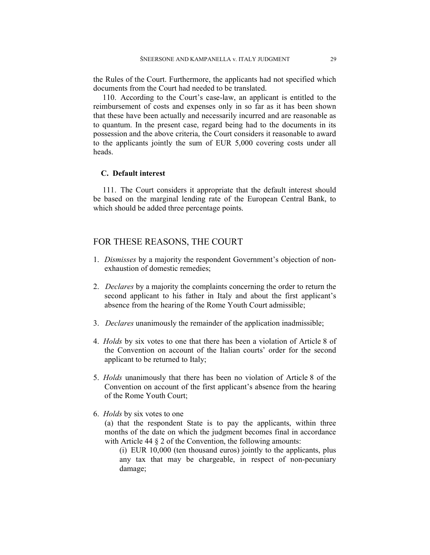the Rules of the Court. Furthermore, the applicants had not specified which documents from the Court had needed to be translated.

110. According to the Court's case-law, an applicant is entitled to the reimbursement of costs and expenses only in so far as it has been shown that these have been actually and necessarily incurred and are reasonable as to quantum. In the present case, regard being had to the documents in its possession and the above criteria, the Court considers it reasonable to award to the applicants jointly the sum of EUR 5,000 covering costs under all heads.

## C. Default interest

111. The Court considers it appropriate that the default interest should be based on the marginal lending rate of the European Central Bank, to which should be added three percentage points.

# FOR THESE REASONS, THE COURT

- 1. Dismisses by a majority the respondent Government's objection of nonexhaustion of domestic remedies;
- 2. Declares by a majority the complaints concerning the order to return the second applicant to his father in Italy and about the first applicant's absence from the hearing of the Rome Youth Court admissible;
- 3. Declares unanimously the remainder of the application inadmissible;
- 4. Holds by six votes to one that there has been a violation of Article 8 of the Convention on account of the Italian courts' order for the second applicant to be returned to Italy;
- 5. Holds unanimously that there has been no violation of Article 8 of the Convention on account of the first applicant's absence from the hearing of the Rome Youth Court;
- 6. Holds by six votes to one

(a) that the respondent State is to pay the applicants, within three months of the date on which the judgment becomes final in accordance with Article 44  $\S$  2 of the Convention, the following amounts:

(i) EUR 10,000 (ten thousand euros) jointly to the applicants, plus any tax that may be chargeable, in respect of non-pecuniary damage;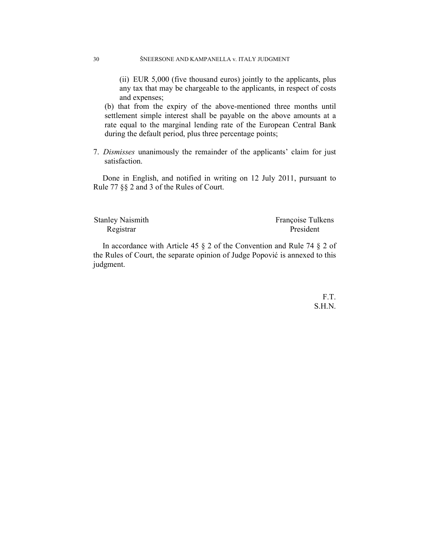(ii) EUR 5,000 (five thousand euros) jointly to the applicants, plus any tax that may be chargeable to the applicants, in respect of costs and expenses;

(b) that from the expiry of the above-mentioned three months until settlement simple interest shall be payable on the above amounts at a rate equal to the marginal lending rate of the European Central Bank during the default period, plus three percentage points;

7. Dismisses unanimously the remainder of the applicants' claim for just satisfaction.

Done in English, and notified in writing on 12 July 2011, pursuant to Rule 77 §§ 2 and 3 of the Rules of Court.

Registrar

Stanley Naismith Françoise Tulkens<br>Registrar President President

In accordance with Article 45 § 2 of the Convention and Rule 74 § 2 of the Rules of Court, the separate opinion of Judge Popović is annexed to this judgment.

> F.T. S.H.N.